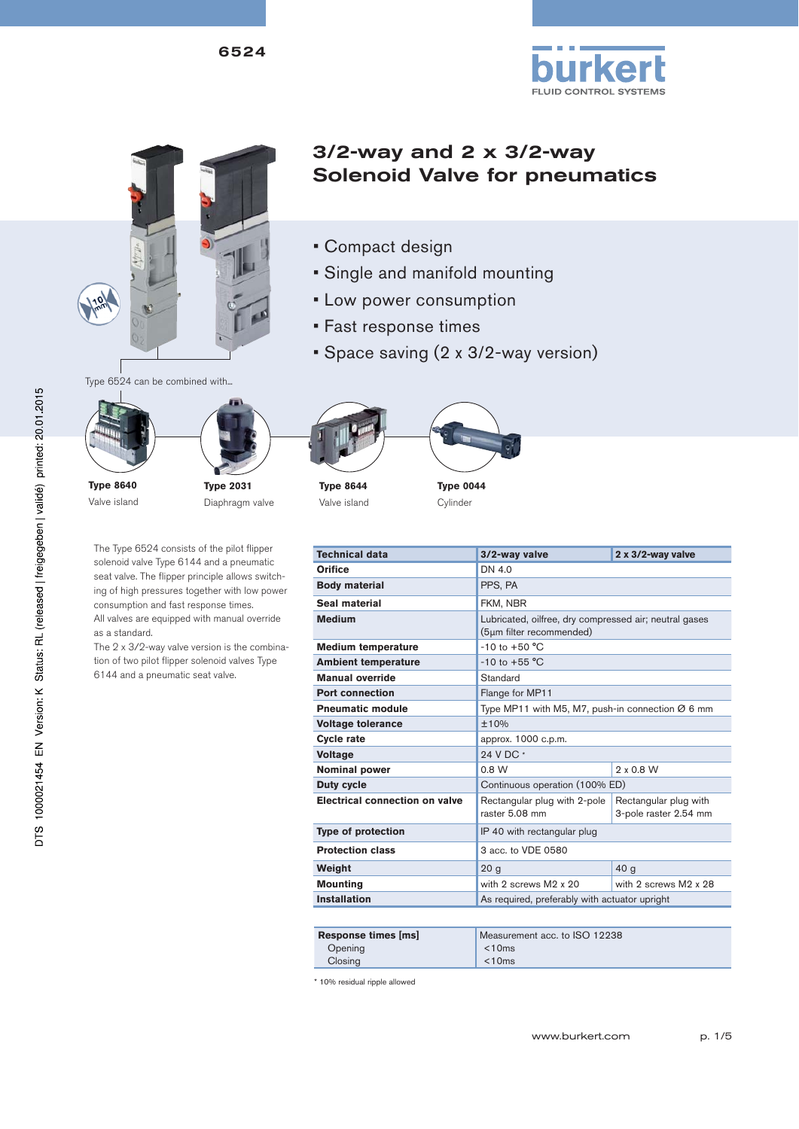



# 3/2-way and 2 x 3/2-way Solenoid Valve for pneumatics

- Compact design
- Single and manifold mounting
- Low power consumption
- Fast response times
- Space saving (2 x 3/2-way version)



Type 6524 can be combined with...

**Type 8640**

Valve island



The Type 6524 consists of the pilot flipper solenoid valve Type 6144 and a pneumatic seat valve. The flipper principle allows switching of high pressures together with low power consumption and fast response times. All valves are equipped with manual override

as a standard.

The  $2 \times 3/2$ -way valve version is the combination of two pilot flipper solenoid valves Type 6144 and a pneumatic seat valve.



**Type 8644** Valve island



| <b>Technical data</b>                 | 3/2-way valve                                                                      | 2 x 3/2-way valve                              |  |
|---------------------------------------|------------------------------------------------------------------------------------|------------------------------------------------|--|
| Orifice                               | DN 4.0                                                                             |                                                |  |
| <b>Body material</b>                  | PPS, PA                                                                            |                                                |  |
| Seal material                         | FKM, NBR                                                                           |                                                |  |
| <b>Medium</b>                         | Lubricated, oilfree, dry compressed air; neutral gases<br>(5µm filter recommended) |                                                |  |
| <b>Medium temperature</b>             | $-10$ to $+50$ °C                                                                  |                                                |  |
| <b>Ambient temperature</b>            | $-10$ to $+55$ °C                                                                  |                                                |  |
| <b>Manual override</b>                | Standard                                                                           |                                                |  |
| <b>Port connection</b>                | Flange for MP11                                                                    |                                                |  |
| <b>Pneumatic module</b>               | Type MP11 with M5, M7, push-in connection $\varnothing$ 6 mm                       |                                                |  |
| <b>Voltage tolerance</b>              | ±10%                                                                               |                                                |  |
| <b>Cycle rate</b>                     | approx. 1000 c.p.m.                                                                |                                                |  |
| <b>Voltage</b>                        | 24 V DC *                                                                          |                                                |  |
| <b>Nominal power</b>                  | 0.8 W                                                                              | $2 \times 0.8$ W                               |  |
| <b>Duty cycle</b>                     | Continuous operation (100% ED)                                                     |                                                |  |
| <b>Electrical connection on valve</b> | Rectangular plug with 2-pole<br>raster 5.08 mm                                     | Rectangular plug with<br>3-pole raster 2.54 mm |  |
| <b>Type of protection</b>             | IP 40 with rectangular plug                                                        |                                                |  |
| <b>Protection class</b>               | 3 acc. to VDE 0580                                                                 |                                                |  |
| Weight                                | 20 <sub>g</sub>                                                                    | 40 <sub>g</sub>                                |  |

| Response times [ms] | Measurement acc. to ISO 12238 |
|---------------------|-------------------------------|
| Opening             | < 10ms                        |
| Closing             | $<$ 10 $\text{ms}$            |

**Mounting** with 2 screws M2 x 20 with 2 screws M2 x 28

**Installation As required, preferably with actuator upright** 

\* 10% residual ripple allowed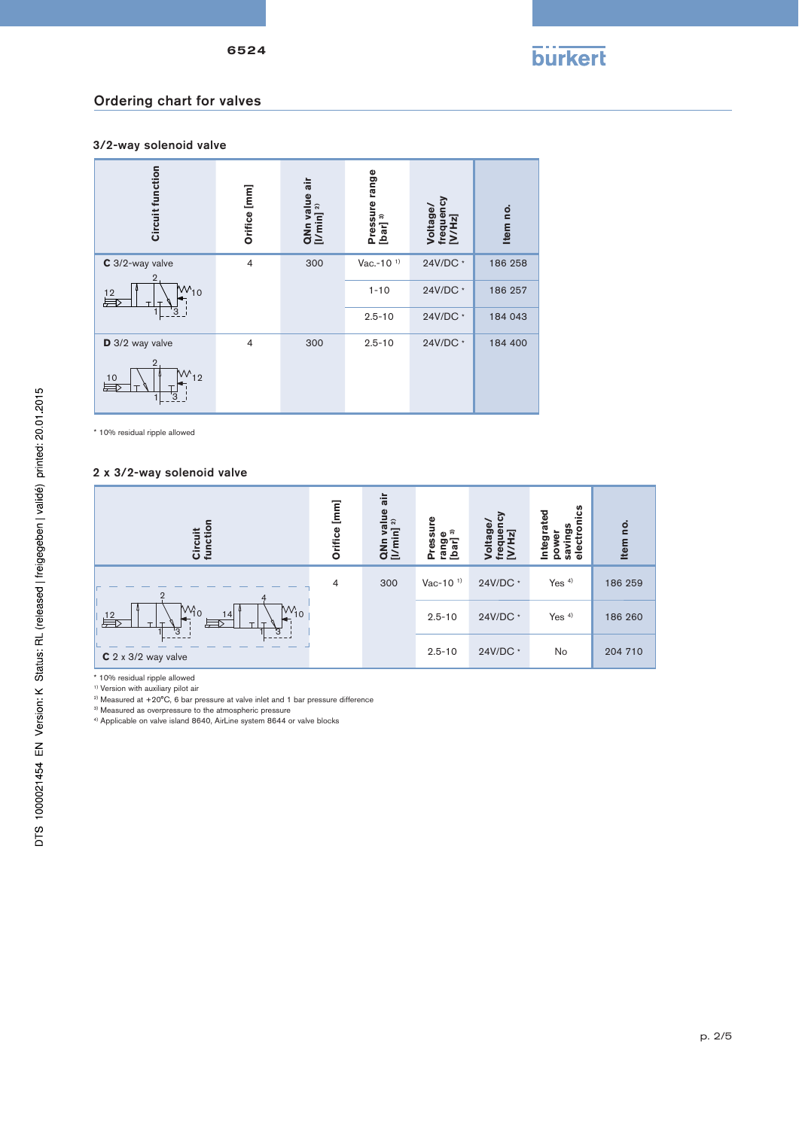

## Ordering chart for valves

3/2-way solenoid valve



\* 10% residual ripple allowed

#### 2 x 3/2-way solenoid valve



\* 10% residual ripple allowed

<sup>1)</sup> Version with auxiliary pilot air

<sup>2)</sup> Measured at +20°C, 6 bar pressure at valve inlet and 1 bar pressure difference

<sup>3)</sup> Measured as overpressure to the atmospheric pressure

4) Applicable on valve island 8640, AirLine system 8644 or valve blocks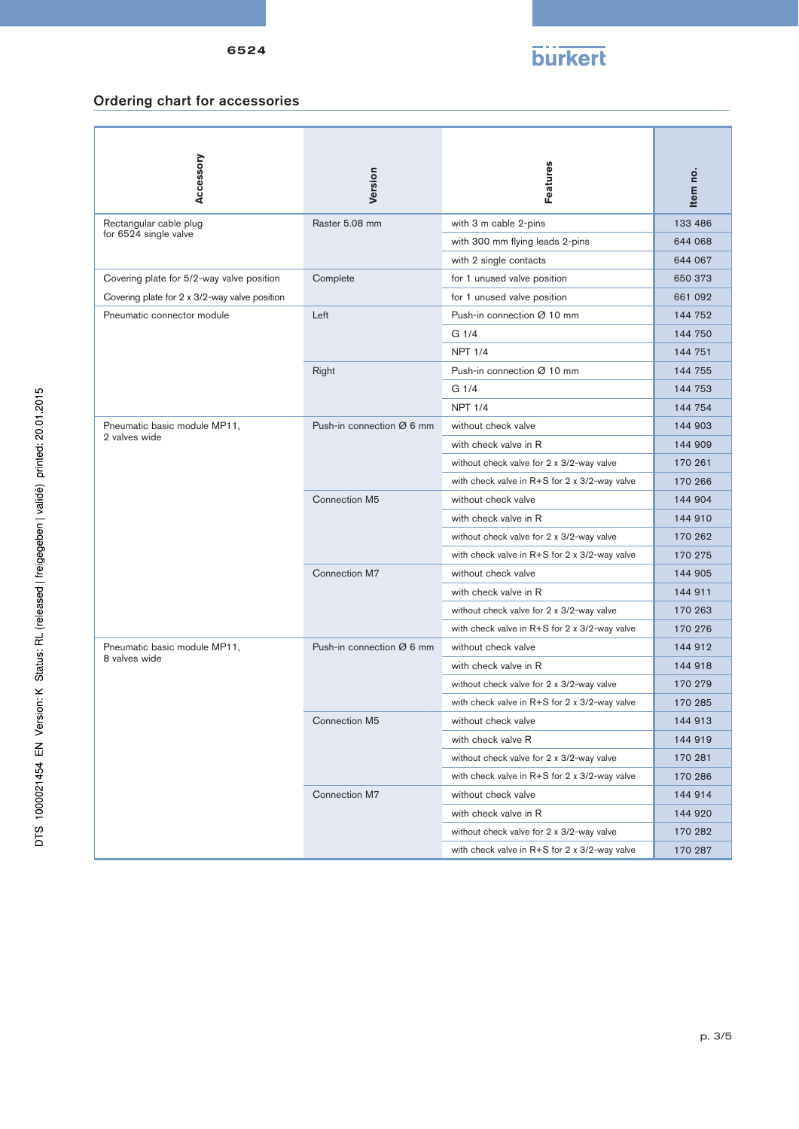# **burkert**

## Ordering chart for accessories

| Accessory                                       | Version                   | Features                                          | Item no |
|-------------------------------------------------|---------------------------|---------------------------------------------------|---------|
| Rectangular cable plug<br>for 6524 single valve | Raster 5.08 mm            | with 3 m cable 2-pins                             | 133 486 |
|                                                 |                           | with 300 mm flying leads 2-pins                   | 644 068 |
|                                                 |                           | with 2 single contacts                            | 644 067 |
| Covering plate for 5/2-way valve position       | Complete                  | for 1 unused valve position                       | 650 373 |
| Covering plate for 2 x 3/2-way valve position   |                           | for 1 unused valve position                       | 661 092 |
| Pneumatic connector module                      | Left                      | Push-in connection Ø 10 mm                        | 144 752 |
|                                                 |                           | G <sub>1/4</sub>                                  | 144 750 |
|                                                 |                           | <b>NPT 1/4</b>                                    | 144 751 |
|                                                 | Right                     | Push-in connection Ø 10 mm                        | 144 755 |
|                                                 |                           | G <sub>1/4</sub>                                  | 144 753 |
|                                                 |                           | <b>NPT 1/4</b>                                    | 144 754 |
| Pneumatic basic module MP11,<br>2 valves wide   | Push-in connection Ø 6 mm | without check valve                               | 144 903 |
|                                                 |                           | with check valve in R                             | 144 909 |
|                                                 |                           | without check valve for 2 x 3/2-way valve         | 170 261 |
|                                                 |                           | with check valve in R+S for 2 x 3/2-way valve     | 170 266 |
|                                                 | Connection M5             | without check valve                               | 144 904 |
|                                                 |                           | with check valve in R                             | 144 910 |
|                                                 |                           | without check valve for 2 x 3/2-way valve         | 170 262 |
|                                                 |                           | with check valve in R+S for 2 x 3/2-way valve     | 170 275 |
|                                                 | Connection M7             | without check valve                               | 144 905 |
|                                                 |                           | with check valve in R                             | 144 911 |
|                                                 |                           | without check valve for 2 x 3/2-way valve         | 170 263 |
|                                                 |                           | with check valve in R+S for 2 x 3/2-way valve     | 170 276 |
| Pneumatic basic module MP11,<br>8 valves wide   | Push-in connection Ø 6 mm | without check valve                               | 144 912 |
|                                                 |                           | with check valve in R                             | 144 918 |
|                                                 |                           | without check valve for 2 x 3/2-way valve         | 170 279 |
|                                                 |                           | with check valve in R+S for 2 x 3/2-way valve     | 170 285 |
|                                                 | Connection M5             | without check valve                               | 144 913 |
|                                                 |                           | with check valve R                                | 144 919 |
|                                                 |                           | without check valve for 2 x 3/2-way valve         | 170 281 |
|                                                 |                           | with check valve in $R + S$ for 2 x 3/2-way valve | 170 286 |
|                                                 | Connection M7             | without check valve                               | 144 914 |
|                                                 |                           | with check valve in R                             | 144 920 |
|                                                 |                           | without check valve for 2 x 3/2-way valve         | 170 282 |
|                                                 |                           | with check valve in $R + S$ for 2 x 3/2-way valve | 170 287 |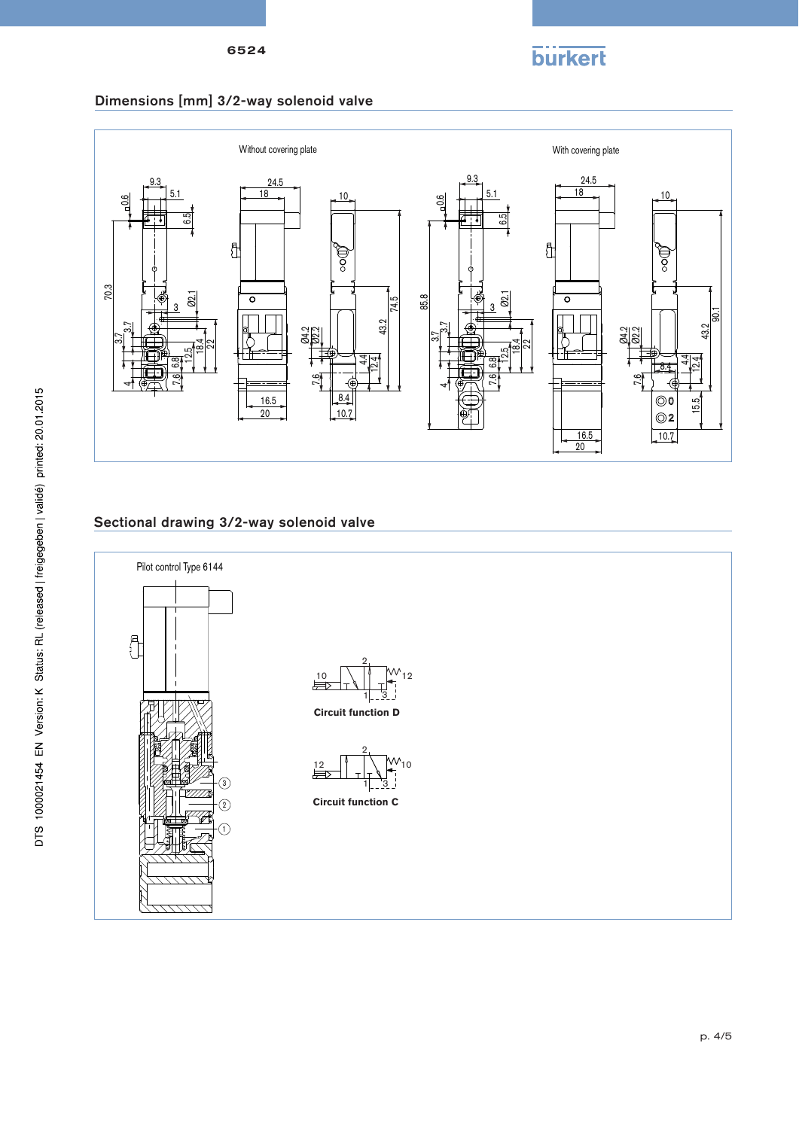

#### Dimensions [mm] 3/2-way solenoid valve



## Sectional drawing 3/2-way solenoid valve